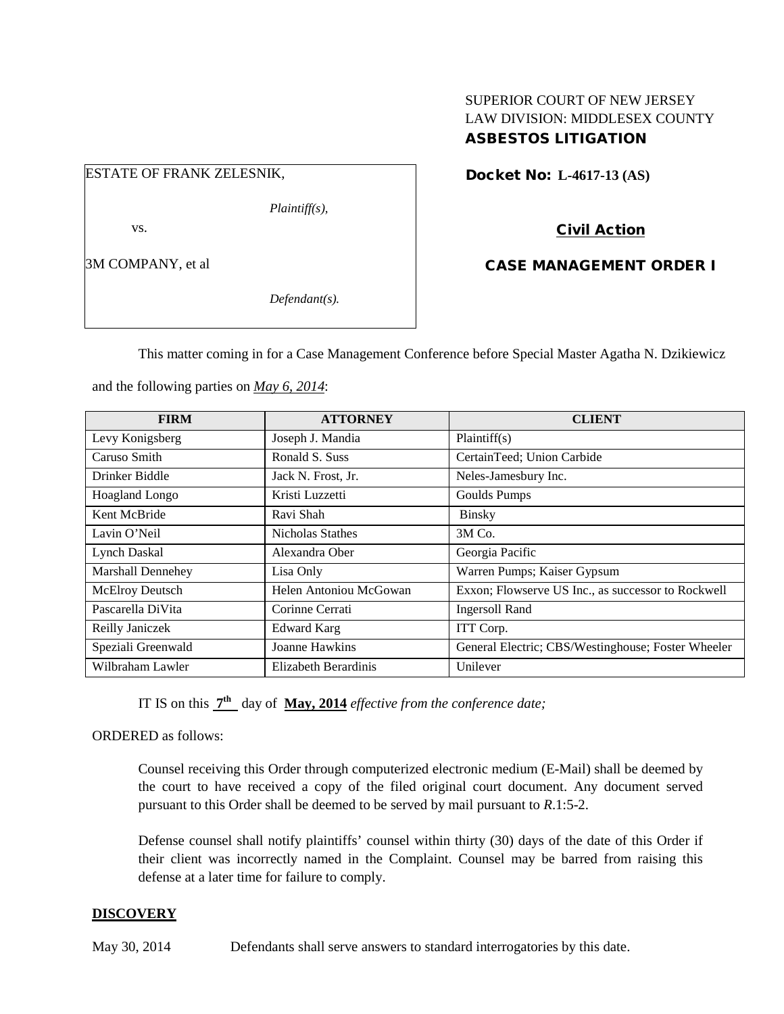### SUPERIOR COURT OF NEW JERSEY LAW DIVISION: MIDDLESEX COUNTY ASBESTOS LITIGATION

## ESTATE OF FRANK ZELESNIK,

*Plaintiff(s),*

vs.

3M COMPANY, et al

*Defendant(s).*

Docket No: **L-4617-13 (AS)** 

# Civil Action

CASE MANAGEMENT ORDER I

This matter coming in for a Case Management Conference before Special Master Agatha N. Dzikiewicz

and the following parties on *May 6, 2014*:

| <b>FIRM</b>            | <b>ATTORNEY</b>        | <b>CLIENT</b>                                      |
|------------------------|------------------------|----------------------------------------------------|
| Levy Konigsberg        | Joseph J. Mandia       | Plaintiff(s)                                       |
| Caruso Smith           | Ronald S. Suss         | CertainTeed; Union Carbide                         |
| Drinker Biddle         | Jack N. Frost, Jr.     | Neles-Jamesbury Inc.                               |
| Hoagland Longo         | Kristi Luzzetti        | Goulds Pumps                                       |
| Kent McBride           | Ravi Shah              | <b>Binsky</b>                                      |
| Lavin O'Neil           | Nicholas Stathes       | $3M$ Co.                                           |
| <b>Lynch Daskal</b>    | Alexandra Ober         | Georgia Pacific                                    |
| Marshall Dennehey      | Lisa Only              | Warren Pumps; Kaiser Gypsum                        |
| <b>McElroy Deutsch</b> | Helen Antoniou McGowan | Exxon; Flowserve US Inc., as successor to Rockwell |
| Pascarella DiVita      | Corinne Cerrati        | <b>Ingersoll Rand</b>                              |
| Reilly Janiczek        | <b>Edward Karg</b>     | ITT Corp.                                          |
| Speziali Greenwald     | Joanne Hawkins         | General Electric; CBS/Westinghouse; Foster Wheeler |
| Wilbraham Lawler       | Elizabeth Berardinis   | Unilever                                           |

IT IS on this **7th** day of **May, 2014** *effective from the conference date;*

ORDERED as follows:

Counsel receiving this Order through computerized electronic medium (E-Mail) shall be deemed by the court to have received a copy of the filed original court document. Any document served pursuant to this Order shall be deemed to be served by mail pursuant to *R*.1:5-2.

Defense counsel shall notify plaintiffs' counsel within thirty (30) days of the date of this Order if their client was incorrectly named in the Complaint. Counsel may be barred from raising this defense at a later time for failure to comply.

### **DISCOVERY**

May 30, 2014 Defendants shall serve answers to standard interrogatories by this date.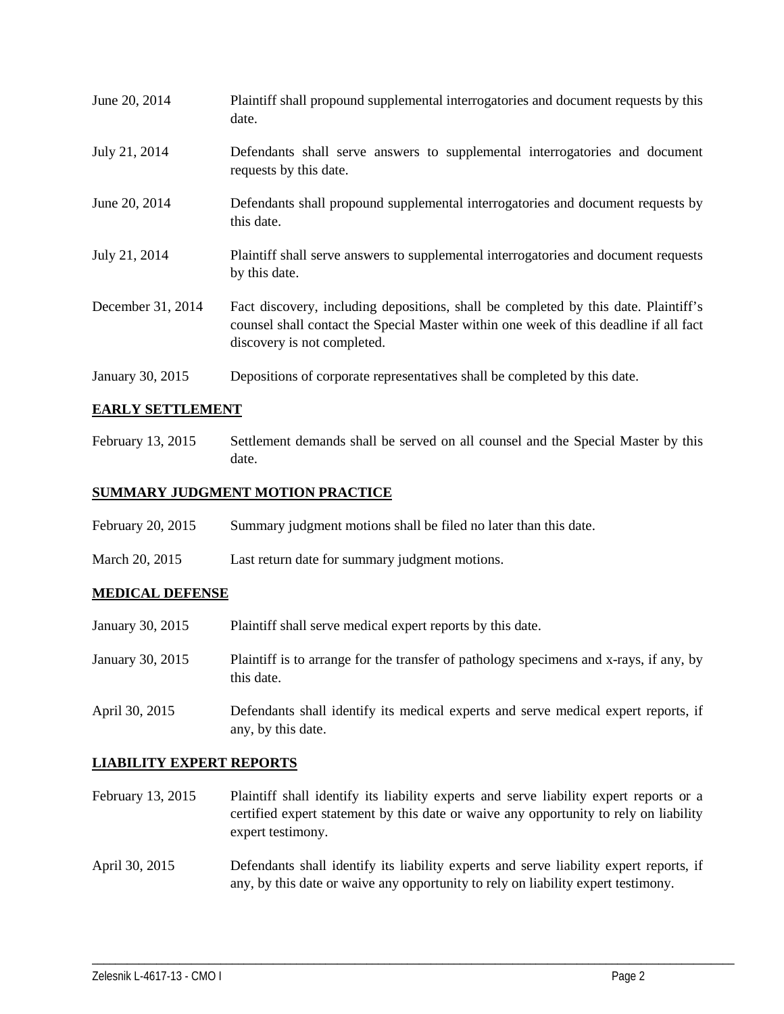| June 20, 2014     | Plaintiff shall propound supplemental interrogatories and document requests by this<br>date.                                                                                                                |
|-------------------|-------------------------------------------------------------------------------------------------------------------------------------------------------------------------------------------------------------|
| July 21, 2014     | Defendants shall serve answers to supplemental interrogatories and document<br>requests by this date.                                                                                                       |
| June 20, 2014     | Defendants shall propound supplemental interrogatories and document requests by<br>this date.                                                                                                               |
| July 21, 2014     | Plaintiff shall serve answers to supplemental interrogatories and document requests<br>by this date.                                                                                                        |
| December 31, 2014 | Fact discovery, including depositions, shall be completed by this date. Plaintiff's<br>counsel shall contact the Special Master within one week of this deadline if all fact<br>discovery is not completed. |
| January 30, 2015  | Depositions of corporate representatives shall be completed by this date.                                                                                                                                   |

### **EARLY SETTLEMENT**

February 13, 2015 Settlement demands shall be served on all counsel and the Special Master by this date.

### **SUMMARY JUDGMENT MOTION PRACTICE**

| February 20, 2015 | Summary judgment motions shall be filed no later than this date. |  |  |
|-------------------|------------------------------------------------------------------|--|--|
|                   |                                                                  |  |  |

March 20, 2015 Last return date for summary judgment motions.

#### **MEDICAL DEFENSE**

| January 30, 2015 | Plaintiff shall serve medical expert reports by this date.                                           |
|------------------|------------------------------------------------------------------------------------------------------|
| January 30, 2015 | Plaintiff is to arrange for the transfer of pathology specimens and x-rays, if any, by<br>this date. |
| April 30, 2015   | Defendants shall identify its medical experts and serve medical expert reports, if                   |

any, by this date.

#### **LIABILITY EXPERT REPORTS**

- February 13, 2015 Plaintiff shall identify its liability experts and serve liability expert reports or a certified expert statement by this date or waive any opportunity to rely on liability expert testimony.
- April 30, 2015 Defendants shall identify its liability experts and serve liability expert reports, if any, by this date or waive any opportunity to rely on liability expert testimony.

\_\_\_\_\_\_\_\_\_\_\_\_\_\_\_\_\_\_\_\_\_\_\_\_\_\_\_\_\_\_\_\_\_\_\_\_\_\_\_\_\_\_\_\_\_\_\_\_\_\_\_\_\_\_\_\_\_\_\_\_\_\_\_\_\_\_\_\_\_\_\_\_\_\_\_\_\_\_\_\_\_\_\_\_\_\_\_\_\_\_\_\_\_\_\_\_\_\_\_\_\_\_\_\_\_\_\_\_\_\_